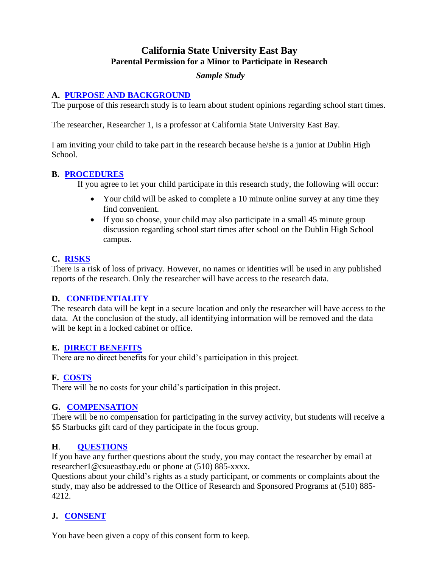## **California State University East Bay Parental Permission for a Minor to Participate in Research**

#### *Sample Study*

#### **A. [PURPOSE AND BACKGROUND](/tips_informed_consent.htm#a)**

The purpose of this research study is to learn about student opinions regarding school start times.

The researcher, Researcher 1, is a professor at California State University East Bay.

I am inviting your child to take part in the research because he/she is a junior at Dublin High School.

#### **B. [PROCEDURES](tips_informed_consent.htm#b)**

If you agree to let your child participate in this research study, the following will occur:

- Your child will be asked to complete a 10 minute online survey at any time they find convenient.
- If you so choose, your child may also participate in a small 45 minute group discussion regarding school start times after school on the Dublin High School campus.

## **C. [RISKS](tips_informed_consent.htm#c)**

There is a risk of loss of privacy. However, no names or identities will be used in any published reports of the research. Only the researcher will have access to the research data.

#### **D. CONFIDENTIALITY**

The research data will be kept in a secure location and only the researcher will have access to the data. At the conclusion of the study, all identifying information will be removed and the data will be kept in a locked cabinet or office.

## **E. [DIRECT BENEFITS](tips_informed_consent.htm#d)**

There are no direct benefits for your child's participation in this project.

## **F. [COSTS](tips_informed_consent.htm#e)**

There will be no costs for your child's participation in this project.

## **G. [COMPENSATION](tips_informed_consent.htm#f)**

There will be no compensation for participating in the survey activity, but students will receive a \$5 Starbucks gift card of they participate in the focus group.

## **H**. **[QUESTIONS](tips_informed_consent.htm#h)**

If you have any further questions about the study, you may contact the researcher by email at researcher1@csueastbay.edu or phone at (510) 885-xxxx.

Questions about your child's rights as a study participant, or comments or complaints about the study, may also be addressed to the Office of Research and Sponsored Programs at (510) 885- 4212.

# **J. [CONSENT](tips_informed_consent.htm#i)**

You have been given a copy of this consent form to keep.